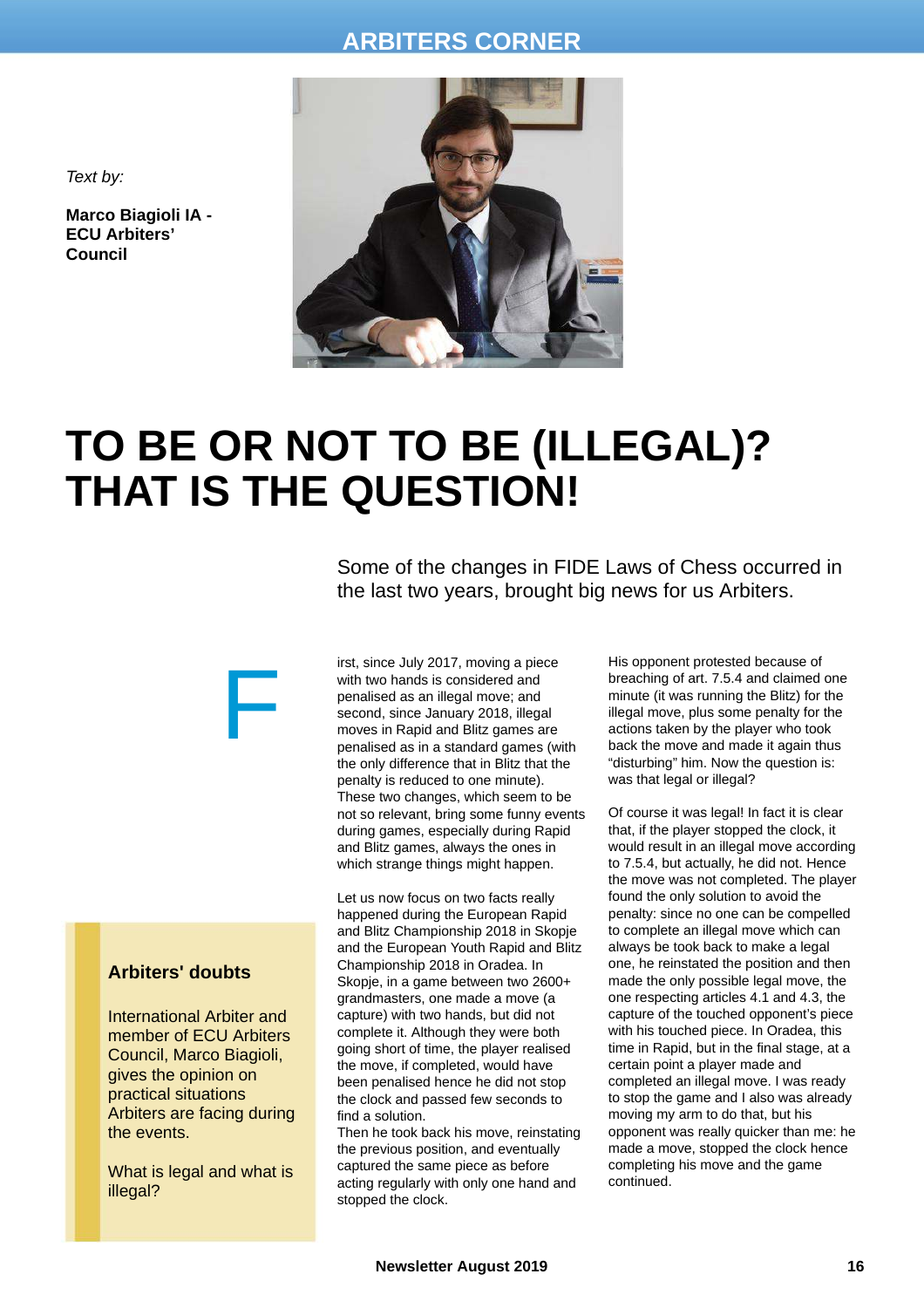## **ARBITERS CORNER**



*Text by:*

**Marco Biagioli IA - ECU Arbiters' Council**

## **TO BE OR NOT TO BE (ILLEGAL)? THAT IS THE QUESTION!**

Some of the changes in FIDE Laws of Chess occurred in the last two years, brought big news for us Arbiters.

irst, since July 2017, moving a piece with two hands is considered and penalised as an illegal move; and second, since January 2018, illegal moves in Rapid and Blitz games are penalised as in a standard games (with the only difference that in Blitz that the penalty is reduced to one minute). These two changes, which seem to be not so relevant, bring some funny events during games, especially during Rapid and Blitz games, always the ones in which strange things might happen.

Let us now focus on two facts really happened during the European Rapid and Blitz Championship 2018 in Skopje and the European Youth Rapid and Blitz Championship 2018 in Oradea. In Skopje, in a game between two 2600+ grandmasters, one made a move (a capture) with two hands, but did not complete it. Although they were both going short of time, the player realised the move, if completed, would have been penalised hence he did not stop the clock and passed few seconds to find a solution.

Then he took back his move, reinstating the previous position, and eventually captured the same piece as before acting regularly with only one hand and stopped the clock.

His opponent protested because of breaching of art. 7.5.4 and claimed one minute (it was running the Blitz) for the illegal move, plus some penalty for the actions taken by the player who took back the move and made it again thus "disturbing" him. Now the question is: was that legal or illegal?

Of course it was legal! In fact it is clear that, if the player stopped the clock, it would result in an illegal move according to 7.5.4, but actually, he did not. Hence the move was not completed. The player found the only solution to avoid the penalty: since no one can be compelled to complete an illegal move which can always be took back to make a legal one, he reinstated the position and then made the only possible legal move, the one respecting articles 4.1 and 4.3, the capture of the touched opponent's piece with his touched piece. In Oradea, this time in Rapid, but in the final stage, at a certain point a player made and completed an illegal move. I was ready to stop the game and I also was already moving my arm to do that, but his opponent was really quicker than me: he made a move, stopped the clock hence completing his move and the game continued.

## **Arbiters' doubts**

International Arbiter and member of ECU Arbiters Council, Marco Biagioli, gives the opinion on practical situations Arbiters are facing during the events.

F

What is legal and what is illegal?